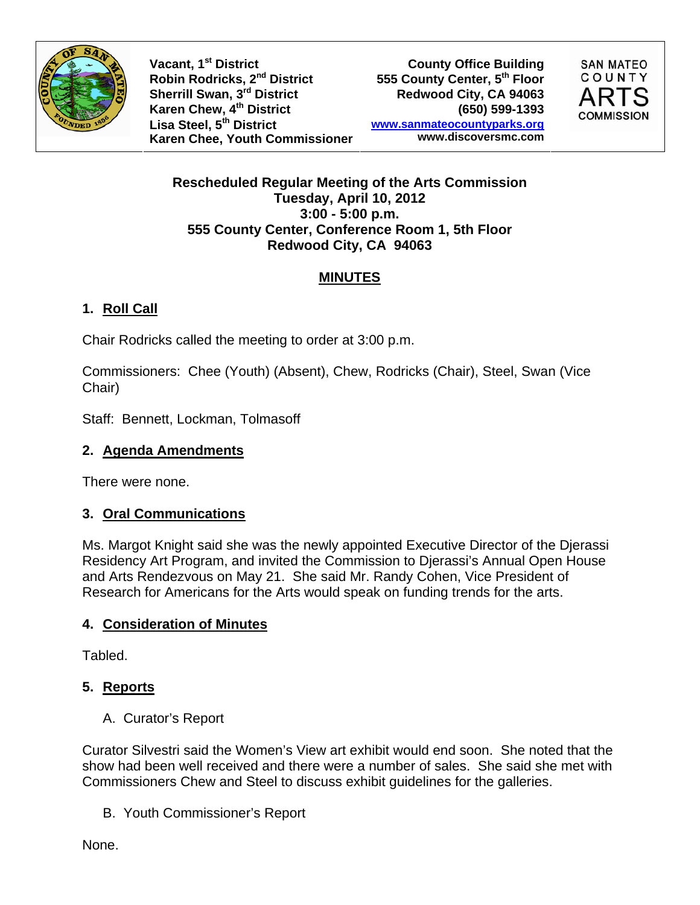

**Vacant, 1st District** Vacant, 1<sup>st</sup> District County Office Building<br>
Robin Rodricks, 2<sup>nd</sup> District **County Center, 5<sup>th</sup> Floor** Sherrill Swan, 3<sup>rd</sup> District **Redwood City, CA 94063 Karen Chew, 4th District (650) 599-1393 Lisa Steel, 5th District Karen Chee, Youth Commissioner**

**555 County Center, 5th Floor www.sanmateocountyparks.org www.discoversmc.com** 



**Rescheduled Regular Meeting of the Arts Commission Tuesday, April 10, 2012 3:00 - 5:00 p.m. 555 County Center, Conference Room 1, 5th Floor Redwood City, CA 94063** 

# **MINUTES**

# **1. Roll Call**

Chair Rodricks called the meeting to order at 3:00 p.m.

Commissioners: Chee (Youth) (Absent), Chew, Rodricks (Chair), Steel, Swan (Vice Chair)

Staff: Bennett, Lockman, Tolmasoff

#### **2. Agenda Amendments**

There were none.

## **3. Oral Communications**

Ms. Margot Knight said she was the newly appointed Executive Director of the Djerassi Residency Art Program, and invited the Commission to Djerassi's Annual Open House and Arts Rendezvous on May 21. She said Mr. Randy Cohen, Vice President of Research for Americans for the Arts would speak on funding trends for the arts.

## **4. Consideration of Minutes**

Tabled.

# **5. Reports**

A. Curator's Report

Curator Silvestri said the Women's View art exhibit would end soon. She noted that the show had been well received and there were a number of sales. She said she met with Commissioners Chew and Steel to discuss exhibit guidelines for the galleries.

B. Youth Commissioner's Report

None.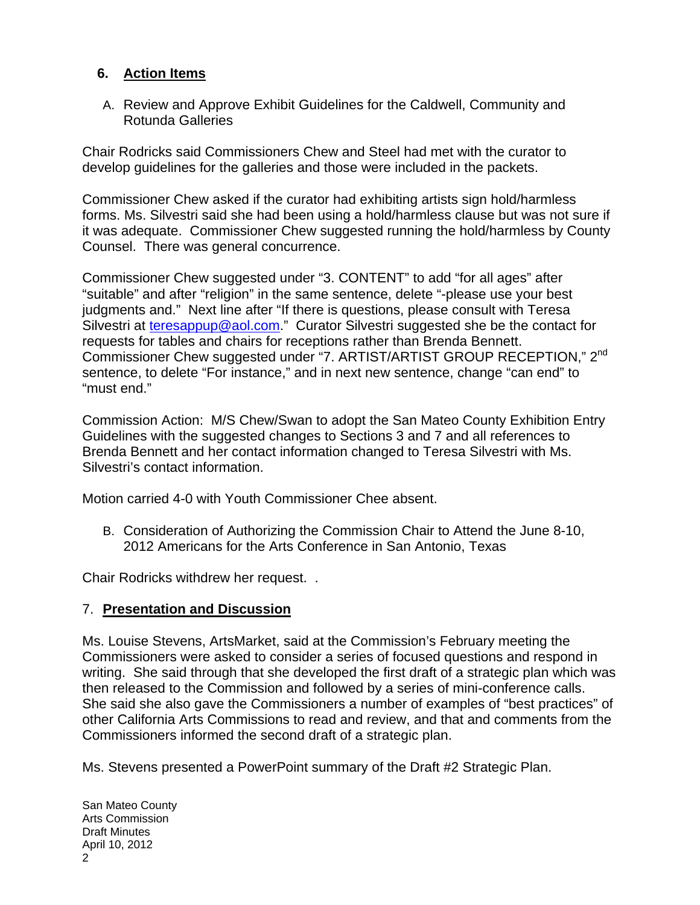### **6. Action Items**

A. Review and Approve Exhibit Guidelines for the Caldwell, Community and Rotunda Galleries

Chair Rodricks said Commissioners Chew and Steel had met with the curator to develop guidelines for the galleries and those were included in the packets.

Commissioner Chew asked if the curator had exhibiting artists sign hold/harmless forms. Ms. Silvestri said she had been using a hold/harmless clause but was not sure if it was adequate. Commissioner Chew suggested running the hold/harmless by County Counsel. There was general concurrence.

Commissioner Chew suggested under "3. CONTENT" to add "for all ages" after "suitable" and after "religion" in the same sentence, delete "-please use your best judgments and." Next line after "If there is questions, please consult with Teresa Silvestri at teresappup@aol.com." Curator Silvestri suggested she be the contact for requests for tables and chairs for receptions rather than Brenda Bennett. Commissioner Chew suggested under "7. ARTIST/ARTIST GROUP RECEPTION," 2nd sentence, to delete "For instance," and in next new sentence, change "can end" to "must end."

Commission Action: M/S Chew/Swan to adopt the San Mateo County Exhibition Entry Guidelines with the suggested changes to Sections 3 and 7 and all references to Brenda Bennett and her contact information changed to Teresa Silvestri with Ms. Silvestri's contact information.

Motion carried 4-0 with Youth Commissioner Chee absent.

B. Consideration of Authorizing the Commission Chair to Attend the June 8-10, 2012 Americans for the Arts Conference in San Antonio, Texas

Chair Rodricks withdrew her request. .

#### 7. **Presentation and Discussion**

Ms. Louise Stevens, ArtsMarket, said at the Commission's February meeting the Commissioners were asked to consider a series of focused questions and respond in writing. She said through that she developed the first draft of a strategic plan which was then released to the Commission and followed by a series of mini-conference calls. She said she also gave the Commissioners a number of examples of "best practices" of other California Arts Commissions to read and review, and that and comments from the Commissioners informed the second draft of a strategic plan.

Ms. Stevens presented a PowerPoint summary of the Draft #2 Strategic Plan.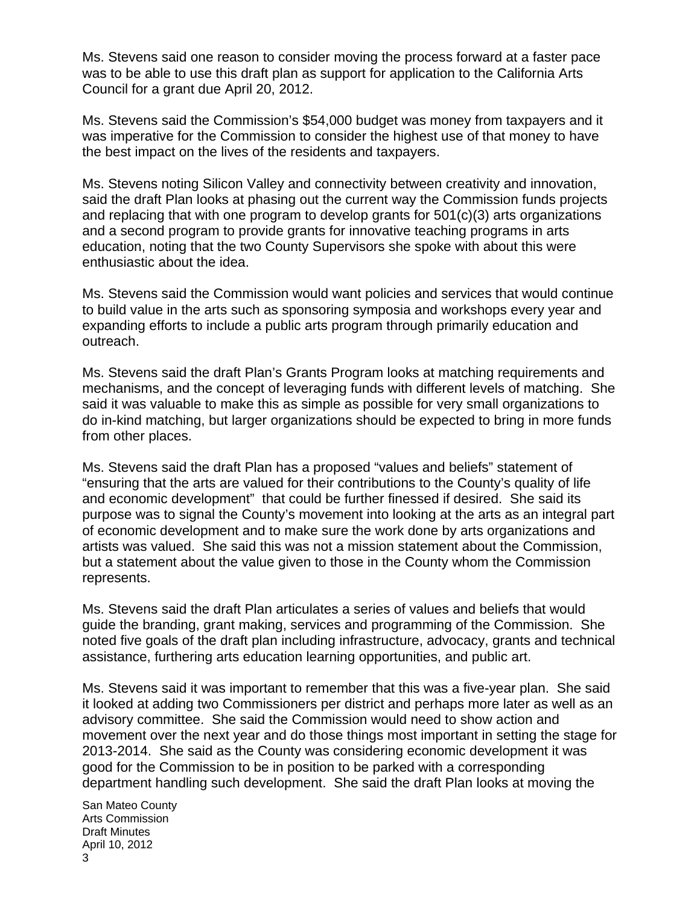Ms. Stevens said one reason to consider moving the process forward at a faster pace was to be able to use this draft plan as support for application to the California Arts Council for a grant due April 20, 2012.

Ms. Stevens said the Commission's \$54,000 budget was money from taxpayers and it was imperative for the Commission to consider the highest use of that money to have the best impact on the lives of the residents and taxpayers.

Ms. Stevens noting Silicon Valley and connectivity between creativity and innovation, said the draft Plan looks at phasing out the current way the Commission funds projects and replacing that with one program to develop grants for 501(c)(3) arts organizations and a second program to provide grants for innovative teaching programs in arts education, noting that the two County Supervisors she spoke with about this were enthusiastic about the idea.

Ms. Stevens said the Commission would want policies and services that would continue to build value in the arts such as sponsoring symposia and workshops every year and expanding efforts to include a public arts program through primarily education and outreach.

Ms. Stevens said the draft Plan's Grants Program looks at matching requirements and mechanisms, and the concept of leveraging funds with different levels of matching. She said it was valuable to make this as simple as possible for very small organizations to do in-kind matching, but larger organizations should be expected to bring in more funds from other places.

Ms. Stevens said the draft Plan has a proposed "values and beliefs" statement of "ensuring that the arts are valued for their contributions to the County's quality of life and economic development" that could be further finessed if desired. She said its purpose was to signal the County's movement into looking at the arts as an integral part of economic development and to make sure the work done by arts organizations and artists was valued. She said this was not a mission statement about the Commission, but a statement about the value given to those in the County whom the Commission represents.

Ms. Stevens said the draft Plan articulates a series of values and beliefs that would guide the branding, grant making, services and programming of the Commission. She noted five goals of the draft plan including infrastructure, advocacy, grants and technical assistance, furthering arts education learning opportunities, and public art.

Ms. Stevens said it was important to remember that this was a five-year plan. She said it looked at adding two Commissioners per district and perhaps more later as well as an advisory committee. She said the Commission would need to show action and movement over the next year and do those things most important in setting the stage for 2013-2014. She said as the County was considering economic development it was good for the Commission to be in position to be parked with a corresponding department handling such development. She said the draft Plan looks at moving the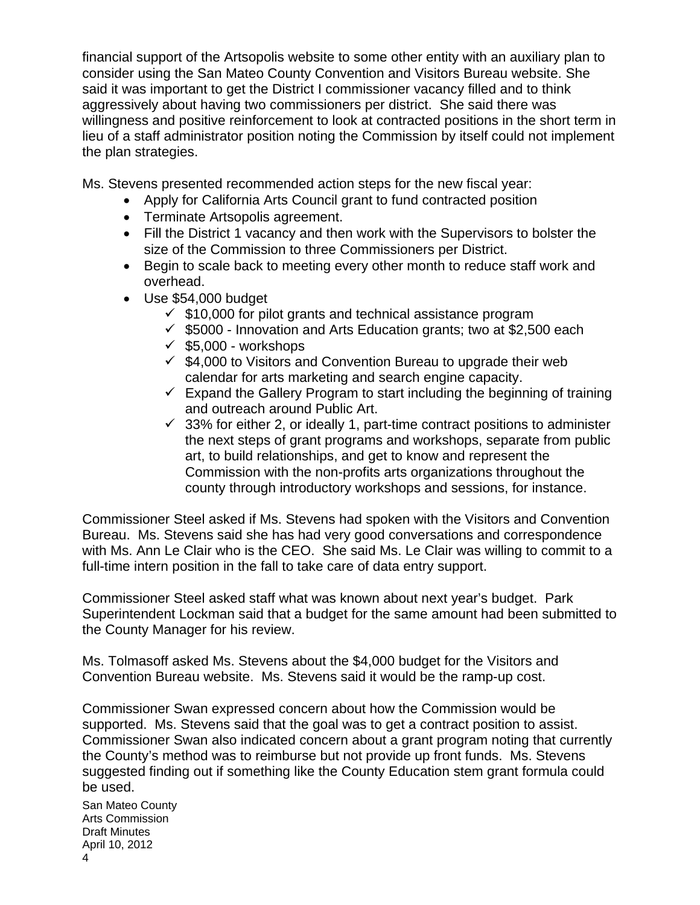financial support of the Artsopolis website to some other entity with an auxiliary plan to consider using the San Mateo County Convention and Visitors Bureau website. She said it was important to get the District I commissioner vacancy filled and to think aggressively about having two commissioners per district. She said there was willingness and positive reinforcement to look at contracted positions in the short term in lieu of a staff administrator position noting the Commission by itself could not implement the plan strategies.

Ms. Stevens presented recommended action steps for the new fiscal year:

- Apply for California Arts Council grant to fund contracted position
- Terminate Artsopolis agreement.
- Fill the District 1 vacancy and then work with the Supervisors to bolster the size of the Commission to three Commissioners per District.
- Begin to scale back to meeting every other month to reduce staff work and overhead.
- Use \$54,000 budget
	- $\checkmark$  \$10,000 for pilot grants and technical assistance program
	- $\checkmark$  \$5000 Innovation and Arts Education grants; two at \$2,500 each
	- $\checkmark$  \$5,000 workshops
	- $\checkmark$  \$4,000 to Visitors and Convention Bureau to upgrade their web calendar for arts marketing and search engine capacity.
	- $\checkmark$  Expand the Gallery Program to start including the beginning of training and outreach around Public Art.
	- $\checkmark$  33% for either 2, or ideally 1, part-time contract positions to administer the next steps of grant programs and workshops, separate from public art, to build relationships, and get to know and represent the Commission with the non-profits arts organizations throughout the county through introductory workshops and sessions, for instance.

Commissioner Steel asked if Ms. Stevens had spoken with the Visitors and Convention Bureau. Ms. Stevens said she has had very good conversations and correspondence with Ms. Ann Le Clair who is the CEO. She said Ms. Le Clair was willing to commit to a full-time intern position in the fall to take care of data entry support.

Commissioner Steel asked staff what was known about next year's budget. Park Superintendent Lockman said that a budget for the same amount had been submitted to the County Manager for his review.

Ms. Tolmasoff asked Ms. Stevens about the \$4,000 budget for the Visitors and Convention Bureau website. Ms. Stevens said it would be the ramp-up cost.

Commissioner Swan expressed concern about how the Commission would be supported. Ms. Stevens said that the goal was to get a contract position to assist. Commissioner Swan also indicated concern about a grant program noting that currently the County's method was to reimburse but not provide up front funds. Ms. Stevens suggested finding out if something like the County Education stem grant formula could be used.